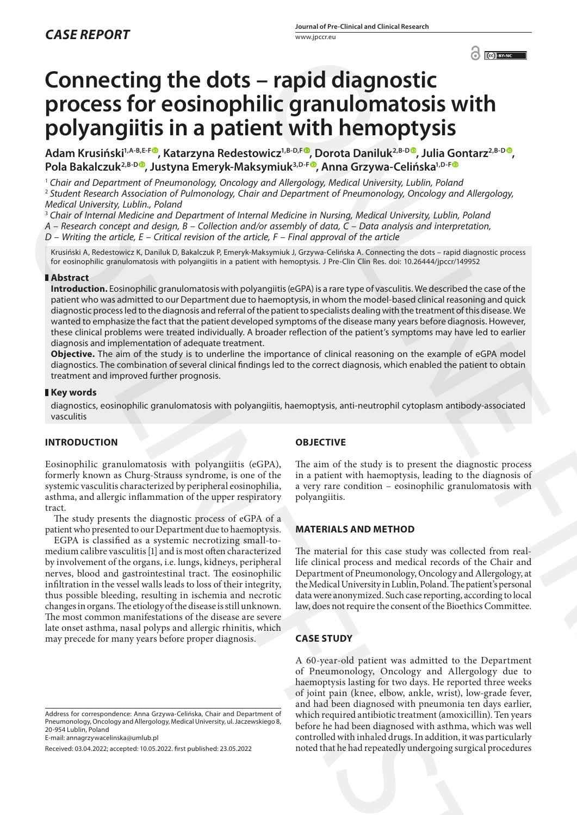# **Connecting the dots – rapid diagnostic process for eosinophilic granulomatosis with polyangiitis in a patient with hemoptysis**

Adam Krusiński<sup>1,A-B,E-F<sup>®</sup>, Katarzyna Redestowicz<sup>1,B-D,F®</sup>, Dorota Daniluk<sup>2,B-D®</sup>, Julia Gontarz<sup>2,B-D®</sup>,</sup> **Pola Bakalczuk2,B-[D](https://orcid.org/0000-0001-5279-6459) , Justyna Emeryk-Maksymiuk3,D-F , Anna Grzywa-Celińska1,D-F**

<sup>1</sup> *Chair and Department of Pneumonology, Oncology and Allergology, Medical University, Lublin, Poland*

<sup>2</sup> *Student Research Association of Pulmonology, Chair and Department of Pneumonology, Oncology and Allergology, Medical University, Lublin., Poland*

<sup>3</sup> *Chair of Internal Medicine and Department of Internal Medicine in Nursing, Medical University, Lublin, Poland*

*A – Research concept and design, B – Collection and/or assembly of data, C – Data analysis and interpretation,* 

*D – Writing the article, E – Critical revision of the article, F – Final approval of the article*

Krusiński A, Redestowicz K, Daniluk D, Bakalczuk P, Emeryk-Maksymiuk J, Grzywa-Celińska A. Connecting the dots – rapid diagnostic process for eosinophilic granulomatosis with polyangiitis in a patient with hemoptysis. J Pre-Clin Clin Res. doi: 10.26444/jpccr/149952

## **Abstract**

**Introduction.** Eosinophilic granulomatosis with polyangiitis (eGPA) is a rare type of vasculitis. We described the case of the patient who was admitted to our Department due to haemoptysis, in whom the model-based clinical reasoning and quick diagnostic process led to the diagnosis and referral of the patient to specialists dealing with the treatment of this disease. We wanted to emphasize the fact that the patient developed symptoms of the disease many years before diagnosis. However, these clinical problems were treated individually. A broader reflection of the patient's symptoms may have led to earlier diagnosis and implementation of adequate treatment. 3 Student Research Association of Photonogly, that and Dependent of Photonogly and Research Association of Photonogly and Dependent Control in the Control in the Control in the Control in the Control in the Control in the

**Objective.** The aim of the study is to underline the importance of clinical reasoning on the example of eGPA model diagnostics. The combination of several clinical findings led to the correct diagnosis, which enabled the patient to obtain treatment and improved further prognosis.

#### **Key words**

diagnostics, eosinophilic granulomatosis with polyangiitis, haemoptysis, anti-neutrophil cytoplasm antibody-associated vasculitis

## **INTRODUCTION**

Eosinophilic granulomatosis with polyangiitis (eGPA), formerly known as Churg-Strauss syndrome, is one of the systemic vasculitis characterized by peripheral eosinophilia, asthma, and allergic inflammation of the upper respiratory tract.

The study presents the diagnostic process of eGPA of a patient who presented to our Department due to haemoptysis.

EGPA is classified as a systemic necrotizing small-tomedium calibre vasculitis [1] and is most often characterized by involvement of the organs, i.e. lungs, kidneys, peripheral nerves, blood and gastrointestinal tract. The eosinophilic infiltration in the vessel walls leads to loss of their integrity, thus possible bleeding, resulting in ischemia and necrotic changes in organs. The etiology of the disease is still unknown. The most common manifestations of the disease are severe late onset asthma, nasal polyps and allergic rhinitis, which may precede for many years before proper diagnosis.

Address for correspondence: Anna Grzywa-Celińska, Chair and Department of Pneumonology, Oncology and Allergology, Medical University, ul. Jaczewskiego 8, 20-954 Lublin, Poland

E-mail: annagrzywacelinska@umlub.pl

Received: 03.04.2022; accepted: 10.05.2022. first published: 23.05.2022

## **OBJECTIVE**

The aim of the study is to present the diagnostic process in a patient with haemoptysis, leading to the diagnosis of a very rare condition – eosinophilic granulomatosis with polyangiitis.

#### **MATERIALS AND METHOD**

The material for this case study was collected from reallife clinical process and medical records of the Chair and Department of Pneumonology, Oncology and Allergology, at the Medical University in Lublin, Poland. The patient's personal data were anonymized. Such case reporting, according to local law, does not require the consent of the Bioethics Committee.

# **CASE STUDY**

A 60-year-old patient was admitted to the Department of Pneumonology, Oncology and Allergology due to haemoptysis lasting for two days. He reported three weeks of joint pain (knee, elbow, ankle, wrist), low-grade fever, and had been diagnosed with pneumonia ten days earlier, which required antibiotic treatment (amoxicillin). Ten years before he had been diagnosed with asthma, which was well controlled with inhaled drugs. In addition, it was particularly noted that he had repeatedly undergoing surgical procedures **C[O](https://orcid.org/0000-0002-6250-8980)[N](https://orcid.org/0000-0002-8150-0984)SERVANCE CONSERVATION**<br> **CONSERVATION CONSERVATION CONSERVATION**<br>
CONSERVATION **CONSERVATION**<br>
CONSERVATION CONSTRAINER CONSULTS (SURFACE AND CONSERVATION CONSERVATION)<br>
Alternative Conservation and *Megology Medical*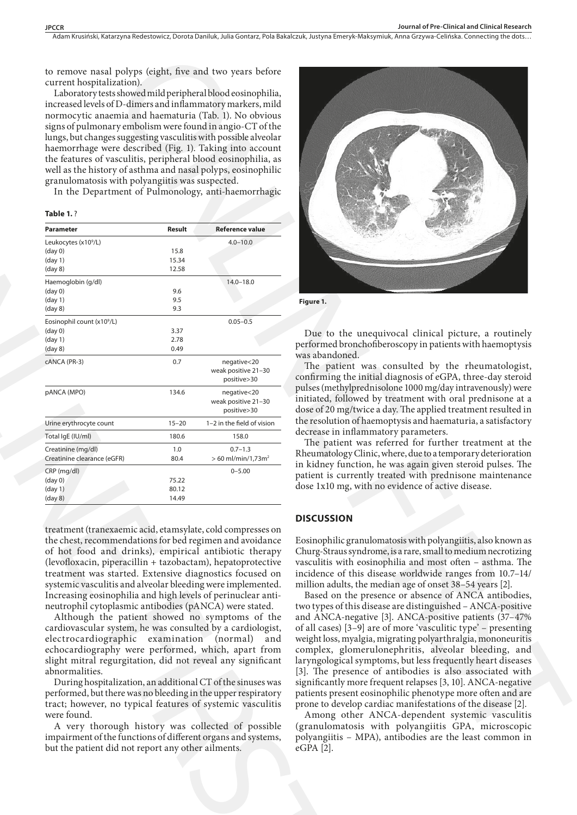Adam Krusiński, Katarzyna Redestowicz, Dorota Daniluk, Julia Gontarz, Pola Bakalczuk, Justyna Emeryk-Maksymiuk, Anna Grzywa-Celińska . Connecting the dots…

to remove nasal polyps (eight, five and two years before current hospitalization).

Laboratory tests showed mild peripheral blood eosinophilia, increased levels of D-dimers and inflammatory markers, mild normocytic anaemia and haematuria (Tab. 1). No obvious signs of pulmonary embolism were found in angio-CT of the lungs, but changes suggesting vasculitis with possible alveolar haemorrhage were described (Fig. 1). Taking into account the features of vasculitis, peripheral blood eosinophilia, as well as the history of asthma and nasal polyps, eosinophilic granulomatosis with polyangiitis was suspected.

In the Department of Pulmonology, anti-haemorrhagic

**Table 1.** ?

| Leukocytes (x10 <sup>9</sup> /L)                                                                                                                                                                                                                                                                                                                                  | Result                           | <b>Reference value</b>                                                        |
|-------------------------------------------------------------------------------------------------------------------------------------------------------------------------------------------------------------------------------------------------------------------------------------------------------------------------------------------------------------------|----------------------------------|-------------------------------------------------------------------------------|
|                                                                                                                                                                                                                                                                                                                                                                   |                                  | $4.0 - 10.0$                                                                  |
| (day 0)                                                                                                                                                                                                                                                                                                                                                           | 15.8                             |                                                                               |
| (day 1)<br>(day 8)                                                                                                                                                                                                                                                                                                                                                | 15.34<br>12.58                   |                                                                               |
| Haemoglobin (g/dl)                                                                                                                                                                                                                                                                                                                                                |                                  | $14.0 - 18.0$                                                                 |
| (day 0)                                                                                                                                                                                                                                                                                                                                                           | 9.6                              |                                                                               |
| (day 1)                                                                                                                                                                                                                                                                                                                                                           | 9.5                              |                                                                               |
| (day 8)                                                                                                                                                                                                                                                                                                                                                           | 9.3                              |                                                                               |
| Eosinophil count (x10 <sup>9</sup> /L)                                                                                                                                                                                                                                                                                                                            |                                  | $0.05 - 0.5$                                                                  |
| $(\text{day } 0)$<br>(day 1)                                                                                                                                                                                                                                                                                                                                      | 3.37<br>2.78                     |                                                                               |
| (day 8)                                                                                                                                                                                                                                                                                                                                                           | 0.49                             |                                                                               |
| cANCA (PR-3)                                                                                                                                                                                                                                                                                                                                                      | 0.7                              | negative<20<br>weak positive 21-30<br>positive>30                             |
| pANCA (MPO)                                                                                                                                                                                                                                                                                                                                                       | 134.6                            | negative<20<br>weak positive 21-30<br>positive>30                             |
| Urine erythrocyte count                                                                                                                                                                                                                                                                                                                                           | $15 - 20$                        | 1-2 in the field of vision                                                    |
| Total IgE (IU/ml)                                                                                                                                                                                                                                                                                                                                                 | 180.6                            | 158.0                                                                         |
| Creatinine (mg/dl)                                                                                                                                                                                                                                                                                                                                                | 1.0                              | $0.7 - 1.3$                                                                   |
| Creatinine clearance (eGFR)                                                                                                                                                                                                                                                                                                                                       | 80.4                             | $> 60$ ml/min/1,73m <sup>2</sup>                                              |
| CRP (mg/dl)                                                                                                                                                                                                                                                                                                                                                       |                                  | $0 - 5.00$                                                                    |
| (day <sub>0</sub> )<br>(day 1)                                                                                                                                                                                                                                                                                                                                    | 75.22<br>80.12                   |                                                                               |
| $(\text{day } 8)$                                                                                                                                                                                                                                                                                                                                                 | 14.49                            |                                                                               |
| (levofloxacin, piperacillin + tazobactam), hepatoprotective<br>treatment was started. Extensive diagnostics focused on<br>systemic vasculitis and alveolar bleeding were implemented.<br>Increasing eosinophilia and high levels of perinuclear anti-<br>neutrophil cytoplasmic antibodies (pANCA) were stated.<br>Although the patient showed no symptoms of the | electrocardiographic examination | cardiovascular system, he was consulted by a cardiologist,<br>(normal)<br>and |



**Figure 1.**

Due to the unequivocal clinical picture, a routinely performed bronchofiberoscopy in patients with haemoptysis was abandoned.

The patient was consulted by the rheumatologist, confirming the initial diagnosis of eGPA, three-day steroid pulses (methylprednisolone 1000 mg/day intravenously) were initiated, followed by treatment with oral prednisone at a dose of 20 mg/twice a day. The applied treatment resulted in the resolution of haemoptysis and haematuria, a satisfactory decrease in inflammatory parameters.

The patient was referred for further treatment at the Rheumatology Clinic, where, due to a temporary deterioration in kidney function, he was again given steroid pulses. The patient is currently treated with prednisone maintenance dose 1x10 mg, with no evidence of active disease.

## **DISCUSSION**

Eosinophilic granulomatosis with polyangiitis, also known as Churg-Straus syndrome, is a rare, small to medium necrotizing vasculitis with eosinophilia and most often – asthma. The incidence of this disease worldwide ranges from 10.7–14/ million adults, the median age of onset 38–54 years [2].

Based on the presence or absence of ANCA antibodies, two types of this disease are distinguished – ANCA-positive and ANCA-negative [3]. ANCA-positive patients (37–47% of all cases) [3–9] are of more 'vasculitic type' – presenting weight loss, myalgia, migrating polyarthralgia, mononeuritis complex, glomerulonephritis, alveolar bleeding, and laryngological symptoms, but less frequently heart diseases [3]. The presence of antibodies is also associated with significantly more frequent relapses [3, 10]. ANCA-negative patients present eosinophilic phenotype more often and are prone to develop cardiac manifestations of the disease [2].

Among other ANCA-dependent systemic vasculitis (granulomatosis with polyangiitis GPA, microscopic polyangiitis – MPA), antibodies are the least common in eGPA [2].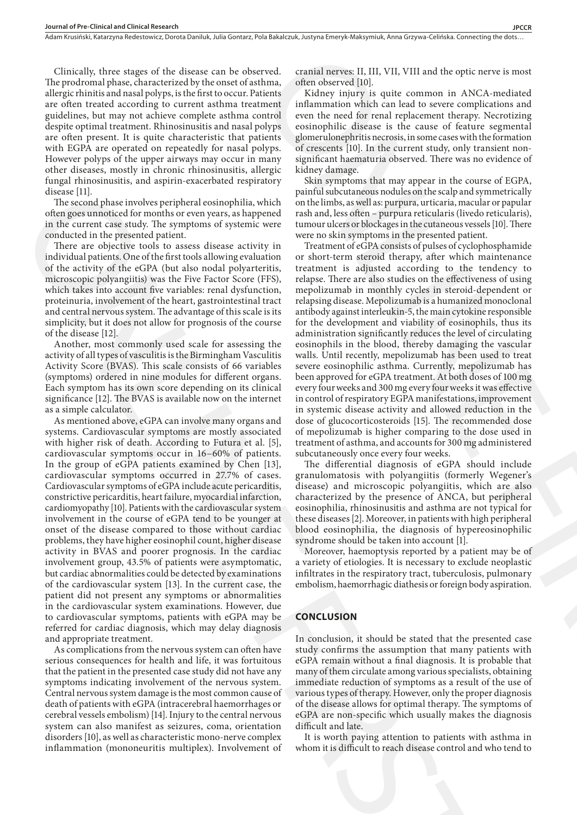Clinically, three stages of the disease can be observed. The prodromal phase, characterized by the onset of asthma, allergic rhinitis and nasal polyps, is the first to occur. Patients are often treated according to current asthma treatment guidelines, but may not achieve complete asthma control despite optimal treatment. Rhinosinusitis and nasal polyps are often present. It is quite characteristic that patients with EGPA are operated on repeatedly for nasal polyps. However polyps of the upper airways may occur in many other diseases, mostly in chronic rhinosinusitis, allergic fungal rhinosinusitis, and aspirin-exacerbated respiratory disease [11].

The second phase involves peripheral eosinophilia, which often goes unnoticed for months or even years, as happened in the current case study. The symptoms of systemic were conducted in the presented patient.

There are objective tools to assess disease activity in individual patients. One of the first tools allowing evaluation of the activity of the eGPA (but also nodal polyarteritis, microscopic polyangiitis) was the Five Factor Score (FFS), which takes into account five variables: renal dysfunction, proteinuria, involvement of the heart, gastrointestinal tract and central nervous system. The advantage of this scale is its simplicity, but it does not allow for prognosis of the course of the disease [12].

Another, most commonly used scale for assessing the activity of all types of vasculitis is the Birmingham Vasculitis Activity Score (BVAS). This scale consists of 66 variables (symptoms) ordered in nine modules for different organs. Each symptom has its own score depending on its clinical significance [12]. The BVAS is available now on the internet as a simple calculator.

As mentioned above, eGPA can involve many organs and systems. Cardiovascular symptoms are mostly associated with higher risk of death. According to Futura et al. [5], cardiovascular symptoms occur in 16–60% of patients. In the group of eGPA patients examined by Chen [13], cardiovascular symptoms occurred in 27.7% of cases. Cardiovascular symptoms of eGPA include acute pericarditis, constrictive pericarditis, heart failure, myocardial infarction, cardiomyopathy [10]. Patients with the cardiovascular system involvement in the course of eGPA tend to be younger at onset of the disease compared to those without cardiac problems, they have higher eosinophil count, higher disease activity in BVAS and poorer prognosis. In the cardiac involvement group, 43.5% of patients were asymptomatic, but cardiac abnormalities could be detected by examinations of the cardiovascular system [13]. In the current case, the patient did not present any symptoms or abnormalities in the cardiovascular system examinations. However, due to cardiovascular symptoms, patients with eGPA may be referred for cardiac diagnosis, which may delay diagnosis and appropriate treatment. distinct till) distinctively by production optimization and consideration in the corresponding consideration of the state and the state and the state and the state and the state and the state and the state and the state a

As complications from the nervous system can often have serious consequences for health and life, it was fortuitous that the patient in the presented case study did not have any symptoms indicating involvement of the nervous system. Central nervous system damage is the most common cause of death of patients with eGPA (intracerebral haemorrhages or cerebral vessels embolism) [14]. Injury to the central nervous system can also manifest as seizures, coma, orientation disorders [10], as well as characteristic mono-nerve complex inflammation (mononeuritis multiplex). Involvement of cranial nerves: II, III, VII, VIII and the optic nerve is most often observed [10].

Kidney injury is quite common in ANCA-mediated inflammation which can lead to severe complications and even the need for renal replacement therapy. Necrotizing eosinophilic disease is the cause of feature segmental glomerulonephritis necrosis, in some cases with the formation of crescents [10]. In the current study, only transient nonsignificant haematuria observed. There was no evidence of kidney damage.

Skin symptoms that may appear in the course of EGPA, painful subcutaneous nodules on the scalp and symmetrically on the limbs, as well as: purpura, urticaria, macular or papular rash and, less often – purpura reticularis (livedo reticularis), tumour ulcers or blockages in the cutaneous vessels [10]. There were no skin symptoms in the presented patient.

Treatment of eGPA consists of pulses of cyclophosphamide or short-term steroid therapy, after which maintenance treatment is adjusted according to the tendency to relapse. There are also studies on the effectiveness of using mepolizumab in monthly cycles in steroid-dependent or relapsing disease. Mepolizumab is a humanized monoclonal antibody against interleukin-5, the main cytokine responsible for the development and viability of eosinophils, thus its administration significantly reduces the level of circulating eosinophils in the blood, thereby damaging the vascular walls. Until recently, mepolizumab has been used to treat severe eosinophilic asthma. Currently, mepolizumab has been approved for eGPA treatment. At both doses of 100 mg every fourweeks and 300 mg every fourweeks it was effective in control of respiratory EGPA manifestations, improvement in systemic disease activity and allowed reduction in the dose of glucocorticosteroids [15]. The recommended dose of mepolizumab is higher comparing to the dose used in treatment of asthma, and accounts for 300 mg administered subcutaneously once every four weeks. rved. cranial nerves. II, III, VII, VIII and the optic nerve is most<br>three. of the observed [0). The VII and the original telestics is Nother injury is quite common in ANCA mediated<br>telents. Kolney injury is quite common i

The differential diagnosis of eGPA should include granulomatosis with polyangiitis (formerly Wegener's disease) and microscopic polyangiitis, which are also characterized by the presence of ANCA, but peripheral eosinophilia, rhinosinusitis and asthma are not typical for these diseases [2]. Moreover, in patients with high peripheral blood eosinophilia, the diagnosis of hypereosinophilic syndrome should be taken into account [1].

Moreover, haemoptysis reported by a patient may be of a variety of etiologies. It is necessary to exclude neoplastic infiltrates in the respiratory tract, tuberculosis, pulmonary embolism, haemorrhagic diathesis or foreign body aspiration.

#### **CONCLUSION**

In conclusion, it should be stated that the presented case study confirms the assumption that many patients with eGPA remain without a final diagnosis. It is probable that many of them circulate among various specialists, obtaining immediate reduction of symptoms as a result of the use of various types of therapy. However, only the proper diagnosis of the disease allows for optimal therapy. The symptoms of eGPA are non-specific which usually makes the diagnosis difficult and late.

It is worth paying attention to patients with asthma in whom it is difficult to reach disease control and who tend to